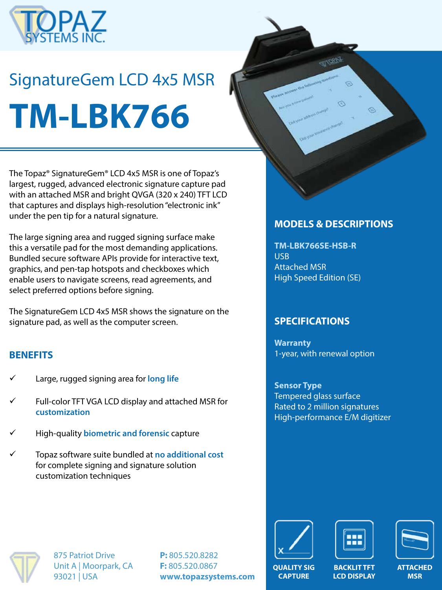

# SignatureGem LCD 4x5 MSR **TM-LBK766**



The Topaz® SignatureGem® LCD 4x5 MSR is one of Topaz's largest, rugged, advanced electronic signature capture pad with an attached MSR and bright QVGA (320 x 240) TFT LCD that captures and displays high-resolution "electronic ink" under the pen tip for a natural signature.

The large signing area and rugged signing surface make this a versatile pad for the most demanding applications. Bundled secure software APIs provide for interactive text, graphics, and pen-tap hotspots and checkboxes which enable users to navigate screens, read agreements, and select preferred options before signing.

The SignatureGem LCD 4x5 MSR shows the signature on the signature pad, as well as the computer screen.

## **BENEFITS**

- Large, rugged signing area for **long life**
- $\checkmark$  Full-color TFT VGA LCD display and attached MSR for **customization**
- ü High-quality **biometric and forensic** capture
- ü Topaz software suite bundled at **no additional cost**  for complete signing and signature solution customization techniques

## **MODELS & DESCRIPTIONS**

**TM-LBK766SE-HSB-R** USB Attached MSR High Speed Edition (SE)

## **SPECIFICATIONS**

**Warranty** 1-year, with renewal option

**Sensor Type** Tempered glass surface Rated to 2 million signatures High-performance E/M digitizer



875 Patriot Drive Unit A | Moorpark, CA 93021 | USA

**P:** 805.520.8282 **F:** 805.520.0867 **www.topazsystems.com**







**QUALITY SIG CAPTURE**

**BACKLIT TFT LCD DISPLAY**

**ATTACHED MSR**